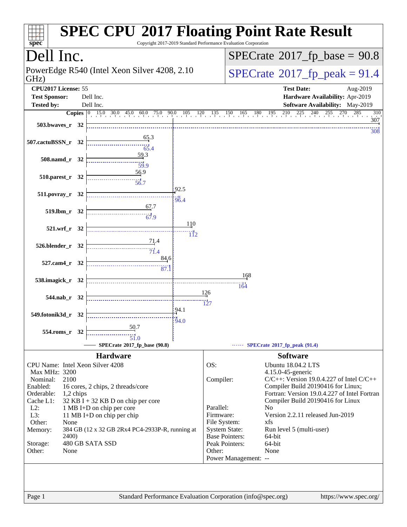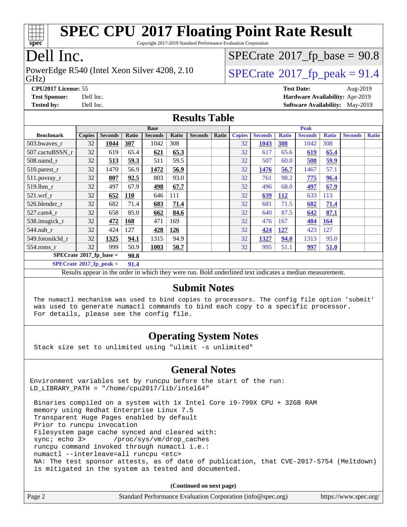

Copyright 2017-2019 Standard Performance Evaluation Corporation

# Dell Inc.

GHz) PowerEdge R540 (Intel Xeon Silver 4208, 2.10  $\vert$  [SPECrate](http://www.spec.org/auto/cpu2017/Docs/result-fields.html#SPECrate2017fppeak)<sup>®</sup>[2017\\_fp\\_peak = 9](http://www.spec.org/auto/cpu2017/Docs/result-fields.html#SPECrate2017fppeak)1.4

 $SPECrate$ <sup>®</sup>[2017\\_fp\\_base =](http://www.spec.org/auto/cpu2017/Docs/result-fields.html#SPECrate2017fpbase) 90.8

**[CPU2017 License:](http://www.spec.org/auto/cpu2017/Docs/result-fields.html#CPU2017License)** 55 **[Test Date:](http://www.spec.org/auto/cpu2017/Docs/result-fields.html#TestDate)** Aug-2019 **[Test Sponsor:](http://www.spec.org/auto/cpu2017/Docs/result-fields.html#TestSponsor)** Dell Inc. **[Hardware Availability:](http://www.spec.org/auto/cpu2017/Docs/result-fields.html#HardwareAvailability)** Apr-2019 **[Tested by:](http://www.spec.org/auto/cpu2017/Docs/result-fields.html#Testedby)** Dell Inc. **[Software Availability:](http://www.spec.org/auto/cpu2017/Docs/result-fields.html#SoftwareAvailability)** May-2019

#### **[Results Table](http://www.spec.org/auto/cpu2017/Docs/result-fields.html#ResultsTable)**

|                                   | <b>Base</b>   |                |            |                | <b>Peak</b> |                |       |               |                |              |                |              |                |              |
|-----------------------------------|---------------|----------------|------------|----------------|-------------|----------------|-------|---------------|----------------|--------------|----------------|--------------|----------------|--------------|
| <b>Benchmark</b>                  | <b>Copies</b> | <b>Seconds</b> | Ratio      | <b>Seconds</b> | Ratio       | <b>Seconds</b> | Ratio | <b>Copies</b> | <b>Seconds</b> | <b>Ratio</b> | <b>Seconds</b> | <b>Ratio</b> | <b>Seconds</b> | <b>Ratio</b> |
| 503.bwayes r                      | 32            | 1044           | 307        | 1042           | 308         |                |       | 32            | 1043           | 308          | 1042           | 308          |                |              |
| 507.cactuBSSN r                   | 32            | 619            | 65.4       | 621            | 65.3        |                |       | 32            | 617            | 65.6         | 619            | 65.4         |                |              |
| $508$ .namd $r$                   | 32            | 513            | 59.3       | 511            | 59.5        |                |       | 32            | 507            | 60.0         | 508            | 59.9         |                |              |
| 510.parest_r                      | 32            | 1470           | 56.9       | 1472           | 56.9        |                |       | 32            | 1476           | 56.7         | 1467           | 57.1         |                |              |
| 511.povray_r                      | 32            | 807            | 92.5       | 803            | 93.0        |                |       | 32            | 761            | 98.2         | 775            | 96.4         |                |              |
| 519.lbm r                         | 32            | 497            | 67.9       | 498            | 67.7        |                |       | 32            | 496            | 68.0         | 497            | 67.9         |                |              |
| $521.wrf$ r                       | 32            | 652            | <b>110</b> | 646            | 111         |                |       | 32            | 639            | <b>112</b>   | 633            | 113          |                |              |
| 526.blender r                     | 32            | 682            | 71.4       | 683            | 71.4        |                |       | 32            | 681            | 71.5         | 682            | 71.4         |                |              |
| 527.cam4 r                        | 32            | 658            | 85.0       | 662            | 84.6        |                |       | 32            | 640            | 87.5         | 642            | 87.1         |                |              |
| 538.imagick_r                     | 32            | 472            | 168        | 471            | 169         |                |       | 32            | 476            | 167          | 484            | <b>164</b>   |                |              |
| 544.nab r                         | 32            | 424            | 127        | 428            | 126         |                |       | 32            | 424            | <u>127</u>   | 423            | 127          |                |              |
| 549.fotonik3d r                   | 32            | 1325           | 94.1       | 1315           | 94.9        |                |       | 32            | 1327           | 94.0         | 1313           | 95.0         |                |              |
| $554$ .roms_r                     | 32            | 999            | 50.9       | 1003           | 50.7        |                |       | 32            | 995            | 51.1         | 997            | 51.0         |                |              |
| $SPECrate*2017_fp\_base =$        |               |                | 90.8       |                |             |                |       |               |                |              |                |              |                |              |
| $SPECrate^{\circ}2017$ _fp_peak = |               |                | 91.4       |                |             |                |       |               |                |              |                |              |                |              |

Results appear in the [order in which they were run.](http://www.spec.org/auto/cpu2017/Docs/result-fields.html#RunOrder) Bold underlined text [indicates a median measurement.](http://www.spec.org/auto/cpu2017/Docs/result-fields.html#Median)

#### **[Submit Notes](http://www.spec.org/auto/cpu2017/Docs/result-fields.html#SubmitNotes)**

 The numactl mechanism was used to bind copies to processors. The config file option 'submit' was used to generate numactl commands to bind each copy to a specific processor. For details, please see the config file.

### **[Operating System Notes](http://www.spec.org/auto/cpu2017/Docs/result-fields.html#OperatingSystemNotes)**

Stack size set to unlimited using "ulimit -s unlimited"

### **[General Notes](http://www.spec.org/auto/cpu2017/Docs/result-fields.html#GeneralNotes)**

Environment variables set by runcpu before the start of the run: LD\_LIBRARY\_PATH = "/home/cpu2017/lib/intel64"

 Binaries compiled on a system with 1x Intel Core i9-799X CPU + 32GB RAM memory using Redhat Enterprise Linux 7.5 Transparent Huge Pages enabled by default Prior to runcpu invocation Filesystem page cache synced and cleared with: sync; echo 3> /proc/sys/vm/drop\_caches runcpu command invoked through numactl i.e.: numactl --interleave=all runcpu <etc> NA: The test sponsor attests, as of date of publication, that CVE-2017-5754 (Meltdown) is mitigated in the system as tested and documented.

**(Continued on next page)**

| Page 2 | Standard Performance Evaluation Corporation (info@spec.org) | https://www.spec.org/ |
|--------|-------------------------------------------------------------|-----------------------|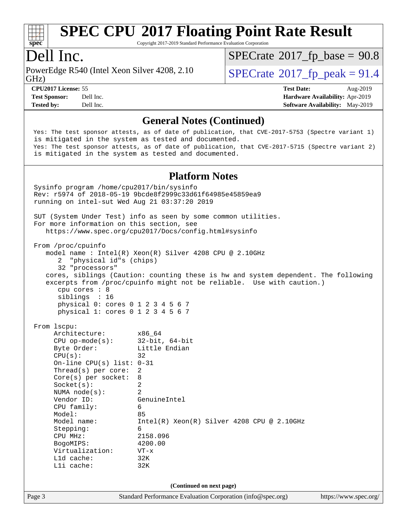

Copyright 2017-2019 Standard Performance Evaluation Corporation

## Dell Inc.

GHz) PowerEdge R540 (Intel Xeon Silver 4208, 2.10  $\vert$  [SPECrate](http://www.spec.org/auto/cpu2017/Docs/result-fields.html#SPECrate2017fppeak)<sup>®</sup>[2017\\_fp\\_peak = 9](http://www.spec.org/auto/cpu2017/Docs/result-fields.html#SPECrate2017fppeak)1.4

 $SPECTate@2017_fp\_base = 90.8$ 

**[CPU2017 License:](http://www.spec.org/auto/cpu2017/Docs/result-fields.html#CPU2017License)** 55 **[Test Date:](http://www.spec.org/auto/cpu2017/Docs/result-fields.html#TestDate)** Aug-2019 **[Test Sponsor:](http://www.spec.org/auto/cpu2017/Docs/result-fields.html#TestSponsor)** Dell Inc. **[Hardware Availability:](http://www.spec.org/auto/cpu2017/Docs/result-fields.html#HardwareAvailability)** Apr-2019 **[Tested by:](http://www.spec.org/auto/cpu2017/Docs/result-fields.html#Testedby)** Dell Inc. **[Software Availability:](http://www.spec.org/auto/cpu2017/Docs/result-fields.html#SoftwareAvailability)** May-2019

#### **[General Notes \(Continued\)](http://www.spec.org/auto/cpu2017/Docs/result-fields.html#GeneralNotes)**

 Yes: The test sponsor attests, as of date of publication, that CVE-2017-5753 (Spectre variant 1) is mitigated in the system as tested and documented. Yes: The test sponsor attests, as of date of publication, that CVE-2017-5715 (Spectre variant 2) is mitigated in the system as tested and documented.

#### **[Platform Notes](http://www.spec.org/auto/cpu2017/Docs/result-fields.html#PlatformNotes)**

Page 3 Standard Performance Evaluation Corporation [\(info@spec.org\)](mailto:info@spec.org) <https://www.spec.org/> Sysinfo program /home/cpu2017/bin/sysinfo Rev: r5974 of 2018-05-19 9bcde8f2999c33d61f64985e45859ea9 running on intel-sut Wed Aug 21 03:37:20 2019 SUT (System Under Test) info as seen by some common utilities. For more information on this section, see <https://www.spec.org/cpu2017/Docs/config.html#sysinfo> From /proc/cpuinfo model name : Intel(R) Xeon(R) Silver 4208 CPU @ 2.10GHz 2 "physical id"s (chips) 32 "processors" cores, siblings (Caution: counting these is hw and system dependent. The following excerpts from /proc/cpuinfo might not be reliable. Use with caution.) cpu cores : 8 siblings : 16 physical 0: cores 0 1 2 3 4 5 6 7 physical 1: cores 0 1 2 3 4 5 6 7 From lscpu: Architecture: x86\_64 CPU op-mode(s): 32-bit, 64-bit Byte Order: Little Endian  $CPU(s):$  32 On-line CPU(s) list: 0-31 Thread(s) per core: 2 Core(s) per socket: 8 Socket(s): 2 NUMA node(s): 2 Vendor ID: GenuineIntel CPU family: 6 Model: 85 Model name: Intel(R) Xeon(R) Silver 4208 CPU @ 2.10GHz Stepping: 6 CPU MHz: 2158.096 BogoMIPS: 4200.00 Virtualization: VT-x L1d cache: 32K L1i cache: 32K **(Continued on next page)**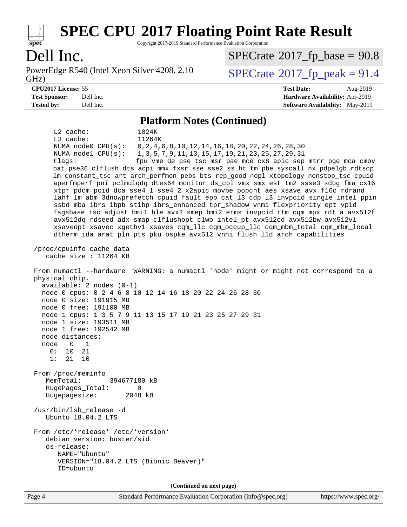

Copyright 2017-2019 Standard Performance Evaluation Corporation

# Dell Inc.

GHz) PowerEdge R540 (Intel Xeon Silver 4208, 2.10  $\vert$  [SPECrate](http://www.spec.org/auto/cpu2017/Docs/result-fields.html#SPECrate2017fppeak)<sup>®</sup>[2017\\_fp\\_peak = 9](http://www.spec.org/auto/cpu2017/Docs/result-fields.html#SPECrate2017fppeak)1.4

 $SPECTate@2017_fp\_base = 90.8$ 

#### **[CPU2017 License:](http://www.spec.org/auto/cpu2017/Docs/result-fields.html#CPU2017License)** 55 **[Test Date:](http://www.spec.org/auto/cpu2017/Docs/result-fields.html#TestDate)** Aug-2019 **[Test Sponsor:](http://www.spec.org/auto/cpu2017/Docs/result-fields.html#TestSponsor)** Dell Inc. **[Hardware Availability:](http://www.spec.org/auto/cpu2017/Docs/result-fields.html#HardwareAvailability)** Apr-2019 **[Tested by:](http://www.spec.org/auto/cpu2017/Docs/result-fields.html#Testedby)** Dell Inc. **[Software Availability:](http://www.spec.org/auto/cpu2017/Docs/result-fields.html#SoftwareAvailability)** May-2019

#### **[Platform Notes \(Continued\)](http://www.spec.org/auto/cpu2017/Docs/result-fields.html#PlatformNotes)**

 L2 cache: 1024K L3 cache: 11264K NUMA node0 CPU(s): 0,2,4,6,8,10,12,14,16,18,20,22,24,26,28,30 NUMA node1 CPU(s): 1,3,5,7,9,11,13,15,17,19,21,23,25,27,29,31 Flags: fpu vme de pse tsc msr pae mce cx8 apic sep mtrr pge mca cmov pat pse36 clflush dts acpi mmx fxsr sse sse2 ss ht tm pbe syscall nx pdpe1gb rdtscp lm constant\_tsc art arch\_perfmon pebs bts rep\_good nopl xtopology nonstop\_tsc cpuid aperfmperf pni pclmulqdq dtes64 monitor ds\_cpl vmx smx est tm2 ssse3 sdbg fma cx16 xtpr pdcm pcid dca sse4\_1 sse4\_2 x2apic movbe popcnt aes xsave avx f16c rdrand lahf\_lm abm 3dnowprefetch cpuid\_fault epb cat\_l3 cdp\_l3 invpcid\_single intel\_ppin ssbd mba ibrs ibpb stibp ibrs\_enhanced tpr\_shadow vnmi flexpriority ept vpid fsgsbase tsc\_adjust bmi1 hle avx2 smep bmi2 erms invpcid rtm cqm mpx rdt\_a avx512f avx512dq rdseed adx smap clflushopt clwb intel\_pt avx512cd avx512bw avx512vl xsaveopt xsavec xgetbv1 xsaves cqm\_llc cqm\_occup\_llc cqm\_mbm\_total cqm\_mbm\_local dtherm ida arat pln pts pku ospke avx512\_vnni flush\_l1d arch\_capabilities /proc/cpuinfo cache data cache size : 11264 KB From numactl --hardware WARNING: a numactl 'node' might or might not correspond to a physical chip. available: 2 nodes (0-1) node 0 cpus: 0 2 4 6 8 10 12 14 16 18 20 22 24 26 28 30 node 0 size: 191915 MB node 0 free: 191100 MB node 1 cpus: 1 3 5 7 9 11 13 15 17 19 21 23 25 27 29 31 node 1 size: 193511 MB node 1 free: 192542 MB node distances: node 0 1 0: 10 21 1: 21 10 From /proc/meminfo MemTotal: 394677180 kB HugePages\_Total: 0 Hugepagesize: 2048 kB /usr/bin/lsb\_release -d Ubuntu 18.04.2 LTS From /etc/\*release\* /etc/\*version\* debian\_version: buster/sid os-release: NAME="Ubuntu" VERSION="18.04.2 LTS (Bionic Beaver)" ID=ubuntu **(Continued on next page)**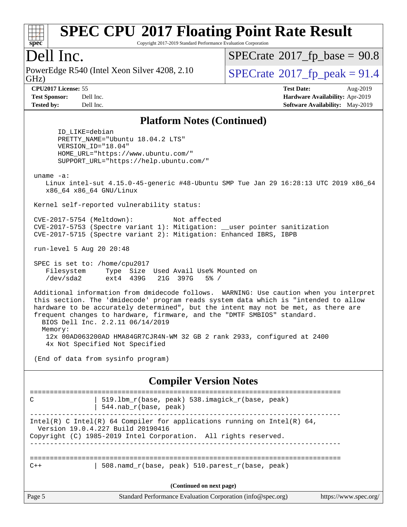

Copyright 2017-2019 Standard Performance Evaluation Corporation

## Dell Inc.

GHz) PowerEdge R540 (Intel Xeon Silver 4208, 2.10  $\vert$  [SPECrate](http://www.spec.org/auto/cpu2017/Docs/result-fields.html#SPECrate2017fppeak)<sup>®</sup>[2017\\_fp\\_peak = 9](http://www.spec.org/auto/cpu2017/Docs/result-fields.html#SPECrate2017fppeak)1.4

 $SPECrate$ <sup>®</sup>[2017\\_fp\\_base =](http://www.spec.org/auto/cpu2017/Docs/result-fields.html#SPECrate2017fpbase) 90.8

**[CPU2017 License:](http://www.spec.org/auto/cpu2017/Docs/result-fields.html#CPU2017License)** 55 **[Test Date:](http://www.spec.org/auto/cpu2017/Docs/result-fields.html#TestDate)** Aug-2019 **[Test Sponsor:](http://www.spec.org/auto/cpu2017/Docs/result-fields.html#TestSponsor)** Dell Inc. **[Hardware Availability:](http://www.spec.org/auto/cpu2017/Docs/result-fields.html#HardwareAvailability)** Apr-2019 **[Tested by:](http://www.spec.org/auto/cpu2017/Docs/result-fields.html#Testedby)** Dell Inc. **[Software Availability:](http://www.spec.org/auto/cpu2017/Docs/result-fields.html#SoftwareAvailability)** May-2019

#### **[Platform Notes \(Continued\)](http://www.spec.org/auto/cpu2017/Docs/result-fields.html#PlatformNotes)**

 ID\_LIKE=debian PRETTY\_NAME="Ubuntu 18.04.2 LTS" VERSION\_ID="18.04" HOME\_URL="<https://www.ubuntu.com/"> SUPPORT\_URL="<https://help.ubuntu.com/">

uname -a:

 Linux intel-sut 4.15.0-45-generic #48-Ubuntu SMP Tue Jan 29 16:28:13 UTC 2019 x86\_64 x86\_64 x86\_64 GNU/Linux

Kernel self-reported vulnerability status:

 CVE-2017-5754 (Meltdown): Not affected CVE-2017-5753 (Spectre variant 1): Mitigation: \_\_user pointer sanitization CVE-2017-5715 (Spectre variant 2): Mitigation: Enhanced IBRS, IBPB

run-level 5 Aug 20 20:48

 SPEC is set to: /home/cpu2017 Filesystem Type Size Used Avail Use% Mounted on /dev/sda2 ext4 439G 21G 397G 5% /

 Additional information from dmidecode follows. WARNING: Use caution when you interpret this section. The 'dmidecode' program reads system data which is "intended to allow hardware to be accurately determined", but the intent may not be met, as there are frequent changes to hardware, firmware, and the "DMTF SMBIOS" standard. BIOS Dell Inc. 2.2.11 06/14/2019 Memory: 12x 00AD063200AD HMA84GR7CJR4N-WM 32 GB 2 rank 2933, configured at 2400 4x Not Specified Not Specified

(End of data from sysinfo program)

**[Compiler Version Notes](http://www.spec.org/auto/cpu2017/Docs/result-fields.html#CompilerVersionNotes)**

| C      | 519.1bm_r(base, peak) 538.imagick_r(base, peak)<br>544. nab r(base, peak)                                                                                                        |                       |
|--------|----------------------------------------------------------------------------------------------------------------------------------------------------------------------------------|-----------------------|
|        | Intel(R) C Intel(R) 64 Compiler for applications running on Intel(R) 64,<br>Version 19.0.4.227 Build 20190416<br>Copyright (C) 1985-2019 Intel Corporation. All rights reserved. |                       |
| $C++$  | 508. namd $r(base, peak)$ 510. parest $r(base, peak)$                                                                                                                            |                       |
|        | (Continued on next page)                                                                                                                                                         |                       |
| Page 5 | Standard Performance Evaluation Corporation (info@spec.org)                                                                                                                      | https://www.spec.org/ |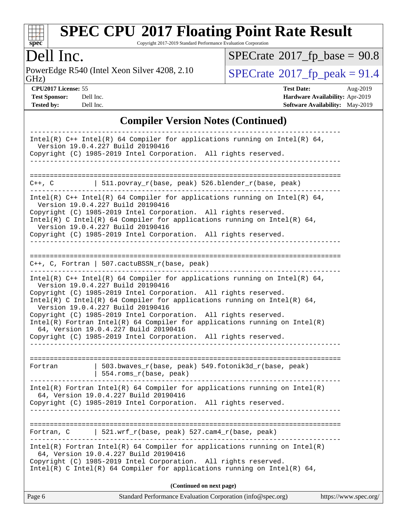

Copyright 2017-2019 Standard Performance Evaluation Corporation

Dell Inc.<br>PowerEdge R540 (Intel Xeon Silver 4208, 2.10) GHz)

 $SPECrate$ <sup>®</sup>[2017\\_fp\\_base =](http://www.spec.org/auto/cpu2017/Docs/result-fields.html#SPECrate2017fpbase) 90.8

 $SPECrate<sup>®</sup>2017_fp_peak = 91.4$  $SPECrate<sup>®</sup>2017_fp_peak = 91.4$  $SPECrate<sup>®</sup>2017_fp_peak = 91.4$  $SPECrate<sup>®</sup>2017_fp_peak = 91.4$ 

**[CPU2017 License:](http://www.spec.org/auto/cpu2017/Docs/result-fields.html#CPU2017License)** 55 **[Test Date:](http://www.spec.org/auto/cpu2017/Docs/result-fields.html#TestDate)** Aug-2019 **[Test Sponsor:](http://www.spec.org/auto/cpu2017/Docs/result-fields.html#TestSponsor)** Dell Inc. **[Hardware Availability:](http://www.spec.org/auto/cpu2017/Docs/result-fields.html#HardwareAvailability)** Apr-2019 **[Tested by:](http://www.spec.org/auto/cpu2017/Docs/result-fields.html#Testedby)** Dell Inc. **[Software Availability:](http://www.spec.org/auto/cpu2017/Docs/result-fields.html#SoftwareAvailability)** May-2019

### **[Compiler Version Notes \(Continued\)](http://www.spec.org/auto/cpu2017/Docs/result-fields.html#CompilerVersionNotes)**

| Page 6<br>Standard Performance Evaluation Corporation (info@spec.org)<br>https://www.spec.org/                                                                                                                                                                                                                                                                                                                                                                                                              |
|-------------------------------------------------------------------------------------------------------------------------------------------------------------------------------------------------------------------------------------------------------------------------------------------------------------------------------------------------------------------------------------------------------------------------------------------------------------------------------------------------------------|
| (Continued on next page)                                                                                                                                                                                                                                                                                                                                                                                                                                                                                    |
| $Intel(R)$ Fortran Intel(R) 64 Compiler for applications running on Intel(R)<br>64, Version 19.0.4.227 Build 20190416<br>Copyright (C) 1985-2019 Intel Corporation. All rights reserved.<br>$Intel(R)$ C Intel(R) 64 Compiler for applications running on Intel(R) 64,                                                                                                                                                                                                                                      |
| 521.wrf_r(base, peak) 527.cam4_r(base, peak)<br>Fortran, C                                                                                                                                                                                                                                                                                                                                                                                                                                                  |
| $Intel(R)$ Fortran Intel(R) 64 Compiler for applications running on Intel(R)<br>64, Version 19.0.4.227 Build 20190416<br>Copyright (C) 1985-2019 Intel Corporation. All rights reserved.                                                                                                                                                                                                                                                                                                                    |
| 503.bwaves_r(base, peak) 549.fotonik3d_r(base, peak)<br>Fortran<br>$  554.rows_r(base, peak)$                                                                                                                                                                                                                                                                                                                                                                                                               |
| Version 19.0.4.227 Build 20190416<br>Copyright (C) 1985-2019 Intel Corporation. All rights reserved.<br>Intel(R) C Intel(R) 64 Compiler for applications running on Intel(R) 64,<br>Version 19.0.4.227 Build 20190416<br>Copyright (C) 1985-2019 Intel Corporation. All rights reserved.<br>$Intel(R)$ Fortran Intel(R) 64 Compiler for applications running on Intel(R)<br>64, Version 19.0.4.227 Build 20190416<br>Copyright (C) 1985-2019 Intel Corporation. All rights reserved.<br>___________________ |
| $C++$ , C, Fortran   507.cactuBSSN_r(base, peak)<br>Intel(R) $C++$ Intel(R) 64 Compiler for applications running on Intel(R) 64,                                                                                                                                                                                                                                                                                                                                                                            |
| Version 19.0.4.227 Build 20190416<br>Copyright (C) 1985-2019 Intel Corporation. All rights reserved.<br>Intel(R) C Intel(R) 64 Compiler for applications running on Intel(R) 64,<br>Version 19.0.4.227 Build 20190416<br>Copyright (C) 1985-2019 Intel Corporation. All rights reserved.                                                                                                                                                                                                                    |
| 511.povray_r(base, peak) 526.blender_r(base, peak)<br>C++, C<br>Intel(R) $C++$ Intel(R) 64 Compiler for applications running on Intel(R) 64,                                                                                                                                                                                                                                                                                                                                                                |
|                                                                                                                                                                                                                                                                                                                                                                                                                                                                                                             |
| Intel(R) $C++$ Intel(R) 64 Compiler for applications running on Intel(R) 64,<br>Version 19.0.4.227 Build 20190416<br>Copyright (C) 1985-2019 Intel Corporation. All rights reserved.                                                                                                                                                                                                                                                                                                                        |
|                                                                                                                                                                                                                                                                                                                                                                                                                                                                                                             |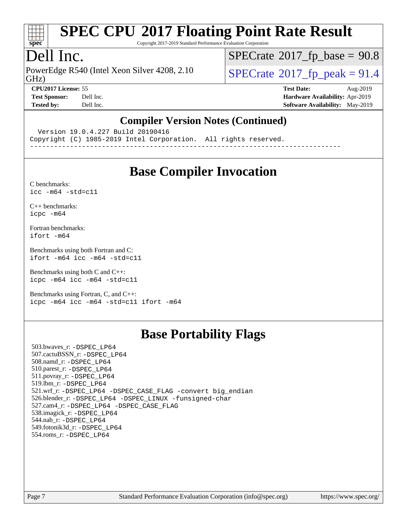

Copyright 2017-2019 Standard Performance Evaluation Corporation

## Dell Inc.

PowerEdge R540 (Intel Xeon Silver 4208, 2.10<br>GHz)

 $SPECTate@2017_fp\_base = 90.8$ 

 $SPECTate$ <sup>®</sup>[2017\\_fp\\_peak = 9](http://www.spec.org/auto/cpu2017/Docs/result-fields.html#SPECrate2017fppeak)1.4 **[CPU2017 License:](http://www.spec.org/auto/cpu2017/Docs/result-fields.html#CPU2017License)** 55 **[Test Date:](http://www.spec.org/auto/cpu2017/Docs/result-fields.html#TestDate)** Aug-2019

**[Test Sponsor:](http://www.spec.org/auto/cpu2017/Docs/result-fields.html#TestSponsor)** Dell Inc. **[Hardware Availability:](http://www.spec.org/auto/cpu2017/Docs/result-fields.html#HardwareAvailability)** Apr-2019 **[Tested by:](http://www.spec.org/auto/cpu2017/Docs/result-fields.html#Testedby)** Dell Inc. Dell Inc. **[Software Availability:](http://www.spec.org/auto/cpu2017/Docs/result-fields.html#SoftwareAvailability)** May-2019

#### **[Compiler Version Notes \(Continued\)](http://www.spec.org/auto/cpu2017/Docs/result-fields.html#CompilerVersionNotes)**

Version 19.0.4.227 Build 20190416

Copyright (C) 1985-2019 Intel Corporation. All rights reserved.

------------------------------------------------------------------------------

# **[Base Compiler Invocation](http://www.spec.org/auto/cpu2017/Docs/result-fields.html#BaseCompilerInvocation)**

[C benchmarks](http://www.spec.org/auto/cpu2017/Docs/result-fields.html#Cbenchmarks):  $icc - m64 - std = c11$ 

[C++ benchmarks:](http://www.spec.org/auto/cpu2017/Docs/result-fields.html#CXXbenchmarks) [icpc -m64](http://www.spec.org/cpu2017/results/res2019q3/cpu2017-20190831-17313.flags.html#user_CXXbase_intel_icpc_64bit_4ecb2543ae3f1412ef961e0650ca070fec7b7afdcd6ed48761b84423119d1bf6bdf5cad15b44d48e7256388bc77273b966e5eb805aefd121eb22e9299b2ec9d9)

[Fortran benchmarks](http://www.spec.org/auto/cpu2017/Docs/result-fields.html#Fortranbenchmarks): [ifort -m64](http://www.spec.org/cpu2017/results/res2019q3/cpu2017-20190831-17313.flags.html#user_FCbase_intel_ifort_64bit_24f2bb282fbaeffd6157abe4f878425411749daecae9a33200eee2bee2fe76f3b89351d69a8130dd5949958ce389cf37ff59a95e7a40d588e8d3a57e0c3fd751)

[Benchmarks using both Fortran and C](http://www.spec.org/auto/cpu2017/Docs/result-fields.html#BenchmarksusingbothFortranandC): [ifort -m64](http://www.spec.org/cpu2017/results/res2019q3/cpu2017-20190831-17313.flags.html#user_CC_FCbase_intel_ifort_64bit_24f2bb282fbaeffd6157abe4f878425411749daecae9a33200eee2bee2fe76f3b89351d69a8130dd5949958ce389cf37ff59a95e7a40d588e8d3a57e0c3fd751) [icc -m64 -std=c11](http://www.spec.org/cpu2017/results/res2019q3/cpu2017-20190831-17313.flags.html#user_CC_FCbase_intel_icc_64bit_c11_33ee0cdaae7deeeab2a9725423ba97205ce30f63b9926c2519791662299b76a0318f32ddfffdc46587804de3178b4f9328c46fa7c2b0cd779d7a61945c91cd35)

[Benchmarks using both C and C++](http://www.spec.org/auto/cpu2017/Docs/result-fields.html#BenchmarksusingbothCandCXX): [icpc -m64](http://www.spec.org/cpu2017/results/res2019q3/cpu2017-20190831-17313.flags.html#user_CC_CXXbase_intel_icpc_64bit_4ecb2543ae3f1412ef961e0650ca070fec7b7afdcd6ed48761b84423119d1bf6bdf5cad15b44d48e7256388bc77273b966e5eb805aefd121eb22e9299b2ec9d9) [icc -m64 -std=c11](http://www.spec.org/cpu2017/results/res2019q3/cpu2017-20190831-17313.flags.html#user_CC_CXXbase_intel_icc_64bit_c11_33ee0cdaae7deeeab2a9725423ba97205ce30f63b9926c2519791662299b76a0318f32ddfffdc46587804de3178b4f9328c46fa7c2b0cd779d7a61945c91cd35)

[Benchmarks using Fortran, C, and C++:](http://www.spec.org/auto/cpu2017/Docs/result-fields.html#BenchmarksusingFortranCandCXX) [icpc -m64](http://www.spec.org/cpu2017/results/res2019q3/cpu2017-20190831-17313.flags.html#user_CC_CXX_FCbase_intel_icpc_64bit_4ecb2543ae3f1412ef961e0650ca070fec7b7afdcd6ed48761b84423119d1bf6bdf5cad15b44d48e7256388bc77273b966e5eb805aefd121eb22e9299b2ec9d9) [icc -m64 -std=c11](http://www.spec.org/cpu2017/results/res2019q3/cpu2017-20190831-17313.flags.html#user_CC_CXX_FCbase_intel_icc_64bit_c11_33ee0cdaae7deeeab2a9725423ba97205ce30f63b9926c2519791662299b76a0318f32ddfffdc46587804de3178b4f9328c46fa7c2b0cd779d7a61945c91cd35) [ifort -m64](http://www.spec.org/cpu2017/results/res2019q3/cpu2017-20190831-17313.flags.html#user_CC_CXX_FCbase_intel_ifort_64bit_24f2bb282fbaeffd6157abe4f878425411749daecae9a33200eee2bee2fe76f3b89351d69a8130dd5949958ce389cf37ff59a95e7a40d588e8d3a57e0c3fd751)

# **[Base Portability Flags](http://www.spec.org/auto/cpu2017/Docs/result-fields.html#BasePortabilityFlags)**

 503.bwaves\_r: [-DSPEC\\_LP64](http://www.spec.org/cpu2017/results/res2019q3/cpu2017-20190831-17313.flags.html#suite_basePORTABILITY503_bwaves_r_DSPEC_LP64) 507.cactuBSSN\_r: [-DSPEC\\_LP64](http://www.spec.org/cpu2017/results/res2019q3/cpu2017-20190831-17313.flags.html#suite_basePORTABILITY507_cactuBSSN_r_DSPEC_LP64) 508.namd\_r: [-DSPEC\\_LP64](http://www.spec.org/cpu2017/results/res2019q3/cpu2017-20190831-17313.flags.html#suite_basePORTABILITY508_namd_r_DSPEC_LP64) 510.parest\_r: [-DSPEC\\_LP64](http://www.spec.org/cpu2017/results/res2019q3/cpu2017-20190831-17313.flags.html#suite_basePORTABILITY510_parest_r_DSPEC_LP64) 511.povray\_r: [-DSPEC\\_LP64](http://www.spec.org/cpu2017/results/res2019q3/cpu2017-20190831-17313.flags.html#suite_basePORTABILITY511_povray_r_DSPEC_LP64) 519.lbm\_r: [-DSPEC\\_LP64](http://www.spec.org/cpu2017/results/res2019q3/cpu2017-20190831-17313.flags.html#suite_basePORTABILITY519_lbm_r_DSPEC_LP64) 521.wrf\_r: [-DSPEC\\_LP64](http://www.spec.org/cpu2017/results/res2019q3/cpu2017-20190831-17313.flags.html#suite_basePORTABILITY521_wrf_r_DSPEC_LP64) [-DSPEC\\_CASE\\_FLAG](http://www.spec.org/cpu2017/results/res2019q3/cpu2017-20190831-17313.flags.html#b521.wrf_r_baseCPORTABILITY_DSPEC_CASE_FLAG) [-convert big\\_endian](http://www.spec.org/cpu2017/results/res2019q3/cpu2017-20190831-17313.flags.html#user_baseFPORTABILITY521_wrf_r_convert_big_endian_c3194028bc08c63ac5d04de18c48ce6d347e4e562e8892b8bdbdc0214820426deb8554edfa529a3fb25a586e65a3d812c835984020483e7e73212c4d31a38223) 526.blender\_r: [-DSPEC\\_LP64](http://www.spec.org/cpu2017/results/res2019q3/cpu2017-20190831-17313.flags.html#suite_basePORTABILITY526_blender_r_DSPEC_LP64) [-DSPEC\\_LINUX](http://www.spec.org/cpu2017/results/res2019q3/cpu2017-20190831-17313.flags.html#b526.blender_r_baseCPORTABILITY_DSPEC_LINUX) [-funsigned-char](http://www.spec.org/cpu2017/results/res2019q3/cpu2017-20190831-17313.flags.html#user_baseCPORTABILITY526_blender_r_force_uchar_40c60f00ab013830e2dd6774aeded3ff59883ba5a1fc5fc14077f794d777847726e2a5858cbc7672e36e1b067e7e5c1d9a74f7176df07886a243d7cc18edfe67) 527.cam4\_r: [-DSPEC\\_LP64](http://www.spec.org/cpu2017/results/res2019q3/cpu2017-20190831-17313.flags.html#suite_basePORTABILITY527_cam4_r_DSPEC_LP64) [-DSPEC\\_CASE\\_FLAG](http://www.spec.org/cpu2017/results/res2019q3/cpu2017-20190831-17313.flags.html#b527.cam4_r_baseCPORTABILITY_DSPEC_CASE_FLAG) 538.imagick\_r: [-DSPEC\\_LP64](http://www.spec.org/cpu2017/results/res2019q3/cpu2017-20190831-17313.flags.html#suite_basePORTABILITY538_imagick_r_DSPEC_LP64) 544.nab\_r: [-DSPEC\\_LP64](http://www.spec.org/cpu2017/results/res2019q3/cpu2017-20190831-17313.flags.html#suite_basePORTABILITY544_nab_r_DSPEC_LP64) 549.fotonik3d\_r: [-DSPEC\\_LP64](http://www.spec.org/cpu2017/results/res2019q3/cpu2017-20190831-17313.flags.html#suite_basePORTABILITY549_fotonik3d_r_DSPEC_LP64) 554.roms\_r: [-DSPEC\\_LP64](http://www.spec.org/cpu2017/results/res2019q3/cpu2017-20190831-17313.flags.html#suite_basePORTABILITY554_roms_r_DSPEC_LP64)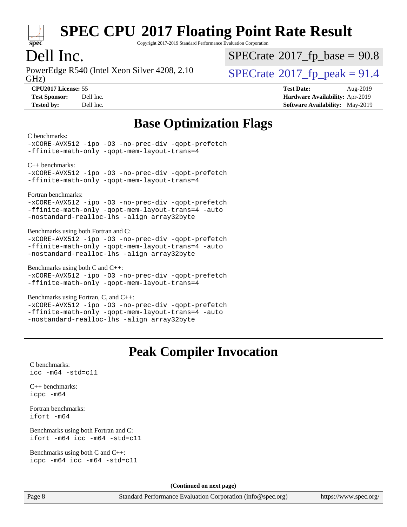

Copyright 2017-2019 Standard Performance Evaluation Corporation

## Dell Inc.

PowerEdge R540 (Intel Xeon Silver 4208, 2.10<br>GHz)

 $SPECTate@2017_fp\_base = 90.8$ 

 $SPECTate$ <sup>®</sup>[2017\\_fp\\_peak = 9](http://www.spec.org/auto/cpu2017/Docs/result-fields.html#SPECrate2017fppeak)1.4

**[CPU2017 License:](http://www.spec.org/auto/cpu2017/Docs/result-fields.html#CPU2017License)** 55 **[Test Date:](http://www.spec.org/auto/cpu2017/Docs/result-fields.html#TestDate)** Aug-2019 **[Test Sponsor:](http://www.spec.org/auto/cpu2017/Docs/result-fields.html#TestSponsor)** Dell Inc. **[Hardware Availability:](http://www.spec.org/auto/cpu2017/Docs/result-fields.html#HardwareAvailability)** Apr-2019 **[Tested by:](http://www.spec.org/auto/cpu2017/Docs/result-fields.html#Testedby)** Dell Inc. **[Software Availability:](http://www.spec.org/auto/cpu2017/Docs/result-fields.html#SoftwareAvailability)** May-2019

# **[Base Optimization Flags](http://www.spec.org/auto/cpu2017/Docs/result-fields.html#BaseOptimizationFlags)**

[C benchmarks](http://www.spec.org/auto/cpu2017/Docs/result-fields.html#Cbenchmarks):

[-xCORE-AVX512](http://www.spec.org/cpu2017/results/res2019q3/cpu2017-20190831-17313.flags.html#user_CCbase_f-xCORE-AVX512) [-ipo](http://www.spec.org/cpu2017/results/res2019q3/cpu2017-20190831-17313.flags.html#user_CCbase_f-ipo) [-O3](http://www.spec.org/cpu2017/results/res2019q3/cpu2017-20190831-17313.flags.html#user_CCbase_f-O3) [-no-prec-div](http://www.spec.org/cpu2017/results/res2019q3/cpu2017-20190831-17313.flags.html#user_CCbase_f-no-prec-div) [-qopt-prefetch](http://www.spec.org/cpu2017/results/res2019q3/cpu2017-20190831-17313.flags.html#user_CCbase_f-qopt-prefetch) [-ffinite-math-only](http://www.spec.org/cpu2017/results/res2019q3/cpu2017-20190831-17313.flags.html#user_CCbase_f_finite_math_only_cb91587bd2077682c4b38af759c288ed7c732db004271a9512da14a4f8007909a5f1427ecbf1a0fb78ff2a814402c6114ac565ca162485bbcae155b5e4258871) [-qopt-mem-layout-trans=4](http://www.spec.org/cpu2017/results/res2019q3/cpu2017-20190831-17313.flags.html#user_CCbase_f-qopt-mem-layout-trans_fa39e755916c150a61361b7846f310bcdf6f04e385ef281cadf3647acec3f0ae266d1a1d22d972a7087a248fd4e6ca390a3634700869573d231a252c784941a8)

[C++ benchmarks](http://www.spec.org/auto/cpu2017/Docs/result-fields.html#CXXbenchmarks):

[-xCORE-AVX512](http://www.spec.org/cpu2017/results/res2019q3/cpu2017-20190831-17313.flags.html#user_CXXbase_f-xCORE-AVX512) [-ipo](http://www.spec.org/cpu2017/results/res2019q3/cpu2017-20190831-17313.flags.html#user_CXXbase_f-ipo) [-O3](http://www.spec.org/cpu2017/results/res2019q3/cpu2017-20190831-17313.flags.html#user_CXXbase_f-O3) [-no-prec-div](http://www.spec.org/cpu2017/results/res2019q3/cpu2017-20190831-17313.flags.html#user_CXXbase_f-no-prec-div) [-qopt-prefetch](http://www.spec.org/cpu2017/results/res2019q3/cpu2017-20190831-17313.flags.html#user_CXXbase_f-qopt-prefetch) [-ffinite-math-only](http://www.spec.org/cpu2017/results/res2019q3/cpu2017-20190831-17313.flags.html#user_CXXbase_f_finite_math_only_cb91587bd2077682c4b38af759c288ed7c732db004271a9512da14a4f8007909a5f1427ecbf1a0fb78ff2a814402c6114ac565ca162485bbcae155b5e4258871) [-qopt-mem-layout-trans=4](http://www.spec.org/cpu2017/results/res2019q3/cpu2017-20190831-17313.flags.html#user_CXXbase_f-qopt-mem-layout-trans_fa39e755916c150a61361b7846f310bcdf6f04e385ef281cadf3647acec3f0ae266d1a1d22d972a7087a248fd4e6ca390a3634700869573d231a252c784941a8)

[Fortran benchmarks:](http://www.spec.org/auto/cpu2017/Docs/result-fields.html#Fortranbenchmarks)

[-xCORE-AVX512](http://www.spec.org/cpu2017/results/res2019q3/cpu2017-20190831-17313.flags.html#user_FCbase_f-xCORE-AVX512) [-ipo](http://www.spec.org/cpu2017/results/res2019q3/cpu2017-20190831-17313.flags.html#user_FCbase_f-ipo) [-O3](http://www.spec.org/cpu2017/results/res2019q3/cpu2017-20190831-17313.flags.html#user_FCbase_f-O3) [-no-prec-div](http://www.spec.org/cpu2017/results/res2019q3/cpu2017-20190831-17313.flags.html#user_FCbase_f-no-prec-div) [-qopt-prefetch](http://www.spec.org/cpu2017/results/res2019q3/cpu2017-20190831-17313.flags.html#user_FCbase_f-qopt-prefetch) [-ffinite-math-only](http://www.spec.org/cpu2017/results/res2019q3/cpu2017-20190831-17313.flags.html#user_FCbase_f_finite_math_only_cb91587bd2077682c4b38af759c288ed7c732db004271a9512da14a4f8007909a5f1427ecbf1a0fb78ff2a814402c6114ac565ca162485bbcae155b5e4258871) [-qopt-mem-layout-trans=4](http://www.spec.org/cpu2017/results/res2019q3/cpu2017-20190831-17313.flags.html#user_FCbase_f-qopt-mem-layout-trans_fa39e755916c150a61361b7846f310bcdf6f04e385ef281cadf3647acec3f0ae266d1a1d22d972a7087a248fd4e6ca390a3634700869573d231a252c784941a8) [-auto](http://www.spec.org/cpu2017/results/res2019q3/cpu2017-20190831-17313.flags.html#user_FCbase_f-auto) [-nostandard-realloc-lhs](http://www.spec.org/cpu2017/results/res2019q3/cpu2017-20190831-17313.flags.html#user_FCbase_f_2003_std_realloc_82b4557e90729c0f113870c07e44d33d6f5a304b4f63d4c15d2d0f1fab99f5daaed73bdb9275d9ae411527f28b936061aa8b9c8f2d63842963b95c9dd6426b8a) [-align array32byte](http://www.spec.org/cpu2017/results/res2019q3/cpu2017-20190831-17313.flags.html#user_FCbase_align_array32byte_b982fe038af199962ba9a80c053b8342c548c85b40b8e86eb3cc33dee0d7986a4af373ac2d51c3f7cf710a18d62fdce2948f201cd044323541f22fc0fffc51b6)

[Benchmarks using both Fortran and C](http://www.spec.org/auto/cpu2017/Docs/result-fields.html#BenchmarksusingbothFortranandC):

[-xCORE-AVX512](http://www.spec.org/cpu2017/results/res2019q3/cpu2017-20190831-17313.flags.html#user_CC_FCbase_f-xCORE-AVX512) [-ipo](http://www.spec.org/cpu2017/results/res2019q3/cpu2017-20190831-17313.flags.html#user_CC_FCbase_f-ipo) [-O3](http://www.spec.org/cpu2017/results/res2019q3/cpu2017-20190831-17313.flags.html#user_CC_FCbase_f-O3) [-no-prec-div](http://www.spec.org/cpu2017/results/res2019q3/cpu2017-20190831-17313.flags.html#user_CC_FCbase_f-no-prec-div) [-qopt-prefetch](http://www.spec.org/cpu2017/results/res2019q3/cpu2017-20190831-17313.flags.html#user_CC_FCbase_f-qopt-prefetch) [-ffinite-math-only](http://www.spec.org/cpu2017/results/res2019q3/cpu2017-20190831-17313.flags.html#user_CC_FCbase_f_finite_math_only_cb91587bd2077682c4b38af759c288ed7c732db004271a9512da14a4f8007909a5f1427ecbf1a0fb78ff2a814402c6114ac565ca162485bbcae155b5e4258871) [-qopt-mem-layout-trans=4](http://www.spec.org/cpu2017/results/res2019q3/cpu2017-20190831-17313.flags.html#user_CC_FCbase_f-qopt-mem-layout-trans_fa39e755916c150a61361b7846f310bcdf6f04e385ef281cadf3647acec3f0ae266d1a1d22d972a7087a248fd4e6ca390a3634700869573d231a252c784941a8) [-auto](http://www.spec.org/cpu2017/results/res2019q3/cpu2017-20190831-17313.flags.html#user_CC_FCbase_f-auto) [-nostandard-realloc-lhs](http://www.spec.org/cpu2017/results/res2019q3/cpu2017-20190831-17313.flags.html#user_CC_FCbase_f_2003_std_realloc_82b4557e90729c0f113870c07e44d33d6f5a304b4f63d4c15d2d0f1fab99f5daaed73bdb9275d9ae411527f28b936061aa8b9c8f2d63842963b95c9dd6426b8a) [-align array32byte](http://www.spec.org/cpu2017/results/res2019q3/cpu2017-20190831-17313.flags.html#user_CC_FCbase_align_array32byte_b982fe038af199962ba9a80c053b8342c548c85b40b8e86eb3cc33dee0d7986a4af373ac2d51c3f7cf710a18d62fdce2948f201cd044323541f22fc0fffc51b6)

[Benchmarks using both C and C++:](http://www.spec.org/auto/cpu2017/Docs/result-fields.html#BenchmarksusingbothCandCXX)

[-xCORE-AVX512](http://www.spec.org/cpu2017/results/res2019q3/cpu2017-20190831-17313.flags.html#user_CC_CXXbase_f-xCORE-AVX512) [-ipo](http://www.spec.org/cpu2017/results/res2019q3/cpu2017-20190831-17313.flags.html#user_CC_CXXbase_f-ipo) [-O3](http://www.spec.org/cpu2017/results/res2019q3/cpu2017-20190831-17313.flags.html#user_CC_CXXbase_f-O3) [-no-prec-div](http://www.spec.org/cpu2017/results/res2019q3/cpu2017-20190831-17313.flags.html#user_CC_CXXbase_f-no-prec-div) [-qopt-prefetch](http://www.spec.org/cpu2017/results/res2019q3/cpu2017-20190831-17313.flags.html#user_CC_CXXbase_f-qopt-prefetch) [-ffinite-math-only](http://www.spec.org/cpu2017/results/res2019q3/cpu2017-20190831-17313.flags.html#user_CC_CXXbase_f_finite_math_only_cb91587bd2077682c4b38af759c288ed7c732db004271a9512da14a4f8007909a5f1427ecbf1a0fb78ff2a814402c6114ac565ca162485bbcae155b5e4258871) [-qopt-mem-layout-trans=4](http://www.spec.org/cpu2017/results/res2019q3/cpu2017-20190831-17313.flags.html#user_CC_CXXbase_f-qopt-mem-layout-trans_fa39e755916c150a61361b7846f310bcdf6f04e385ef281cadf3647acec3f0ae266d1a1d22d972a7087a248fd4e6ca390a3634700869573d231a252c784941a8)

[Benchmarks using Fortran, C, and C++](http://www.spec.org/auto/cpu2017/Docs/result-fields.html#BenchmarksusingFortranCandCXX): [-xCORE-AVX512](http://www.spec.org/cpu2017/results/res2019q3/cpu2017-20190831-17313.flags.html#user_CC_CXX_FCbase_f-xCORE-AVX512) [-ipo](http://www.spec.org/cpu2017/results/res2019q3/cpu2017-20190831-17313.flags.html#user_CC_CXX_FCbase_f-ipo) [-O3](http://www.spec.org/cpu2017/results/res2019q3/cpu2017-20190831-17313.flags.html#user_CC_CXX_FCbase_f-O3) [-no-prec-div](http://www.spec.org/cpu2017/results/res2019q3/cpu2017-20190831-17313.flags.html#user_CC_CXX_FCbase_f-no-prec-div) [-qopt-prefetch](http://www.spec.org/cpu2017/results/res2019q3/cpu2017-20190831-17313.flags.html#user_CC_CXX_FCbase_f-qopt-prefetch) [-ffinite-math-only](http://www.spec.org/cpu2017/results/res2019q3/cpu2017-20190831-17313.flags.html#user_CC_CXX_FCbase_f_finite_math_only_cb91587bd2077682c4b38af759c288ed7c732db004271a9512da14a4f8007909a5f1427ecbf1a0fb78ff2a814402c6114ac565ca162485bbcae155b5e4258871) [-qopt-mem-layout-trans=4](http://www.spec.org/cpu2017/results/res2019q3/cpu2017-20190831-17313.flags.html#user_CC_CXX_FCbase_f-qopt-mem-layout-trans_fa39e755916c150a61361b7846f310bcdf6f04e385ef281cadf3647acec3f0ae266d1a1d22d972a7087a248fd4e6ca390a3634700869573d231a252c784941a8) [-auto](http://www.spec.org/cpu2017/results/res2019q3/cpu2017-20190831-17313.flags.html#user_CC_CXX_FCbase_f-auto) [-nostandard-realloc-lhs](http://www.spec.org/cpu2017/results/res2019q3/cpu2017-20190831-17313.flags.html#user_CC_CXX_FCbase_f_2003_std_realloc_82b4557e90729c0f113870c07e44d33d6f5a304b4f63d4c15d2d0f1fab99f5daaed73bdb9275d9ae411527f28b936061aa8b9c8f2d63842963b95c9dd6426b8a) [-align array32byte](http://www.spec.org/cpu2017/results/res2019q3/cpu2017-20190831-17313.flags.html#user_CC_CXX_FCbase_align_array32byte_b982fe038af199962ba9a80c053b8342c548c85b40b8e86eb3cc33dee0d7986a4af373ac2d51c3f7cf710a18d62fdce2948f201cd044323541f22fc0fffc51b6)

# **[Peak Compiler Invocation](http://www.spec.org/auto/cpu2017/Docs/result-fields.html#PeakCompilerInvocation)**

[C benchmarks](http://www.spec.org/auto/cpu2017/Docs/result-fields.html#Cbenchmarks): [icc -m64 -std=c11](http://www.spec.org/cpu2017/results/res2019q3/cpu2017-20190831-17313.flags.html#user_CCpeak_intel_icc_64bit_c11_33ee0cdaae7deeeab2a9725423ba97205ce30f63b9926c2519791662299b76a0318f32ddfffdc46587804de3178b4f9328c46fa7c2b0cd779d7a61945c91cd35)

[C++ benchmarks:](http://www.spec.org/auto/cpu2017/Docs/result-fields.html#CXXbenchmarks) [icpc -m64](http://www.spec.org/cpu2017/results/res2019q3/cpu2017-20190831-17313.flags.html#user_CXXpeak_intel_icpc_64bit_4ecb2543ae3f1412ef961e0650ca070fec7b7afdcd6ed48761b84423119d1bf6bdf5cad15b44d48e7256388bc77273b966e5eb805aefd121eb22e9299b2ec9d9)

[Fortran benchmarks](http://www.spec.org/auto/cpu2017/Docs/result-fields.html#Fortranbenchmarks): [ifort -m64](http://www.spec.org/cpu2017/results/res2019q3/cpu2017-20190831-17313.flags.html#user_FCpeak_intel_ifort_64bit_24f2bb282fbaeffd6157abe4f878425411749daecae9a33200eee2bee2fe76f3b89351d69a8130dd5949958ce389cf37ff59a95e7a40d588e8d3a57e0c3fd751)

[Benchmarks using both Fortran and C](http://www.spec.org/auto/cpu2017/Docs/result-fields.html#BenchmarksusingbothFortranandC): [ifort -m64](http://www.spec.org/cpu2017/results/res2019q3/cpu2017-20190831-17313.flags.html#user_CC_FCpeak_intel_ifort_64bit_24f2bb282fbaeffd6157abe4f878425411749daecae9a33200eee2bee2fe76f3b89351d69a8130dd5949958ce389cf37ff59a95e7a40d588e8d3a57e0c3fd751) [icc -m64 -std=c11](http://www.spec.org/cpu2017/results/res2019q3/cpu2017-20190831-17313.flags.html#user_CC_FCpeak_intel_icc_64bit_c11_33ee0cdaae7deeeab2a9725423ba97205ce30f63b9926c2519791662299b76a0318f32ddfffdc46587804de3178b4f9328c46fa7c2b0cd779d7a61945c91cd35)

[Benchmarks using both C and C++](http://www.spec.org/auto/cpu2017/Docs/result-fields.html#BenchmarksusingbothCandCXX): [icpc -m64](http://www.spec.org/cpu2017/results/res2019q3/cpu2017-20190831-17313.flags.html#user_CC_CXXpeak_intel_icpc_64bit_4ecb2543ae3f1412ef961e0650ca070fec7b7afdcd6ed48761b84423119d1bf6bdf5cad15b44d48e7256388bc77273b966e5eb805aefd121eb22e9299b2ec9d9) [icc -m64 -std=c11](http://www.spec.org/cpu2017/results/res2019q3/cpu2017-20190831-17313.flags.html#user_CC_CXXpeak_intel_icc_64bit_c11_33ee0cdaae7deeeab2a9725423ba97205ce30f63b9926c2519791662299b76a0318f32ddfffdc46587804de3178b4f9328c46fa7c2b0cd779d7a61945c91cd35)

**(Continued on next page)**

Page 8 Standard Performance Evaluation Corporation [\(info@spec.org\)](mailto:info@spec.org) <https://www.spec.org/>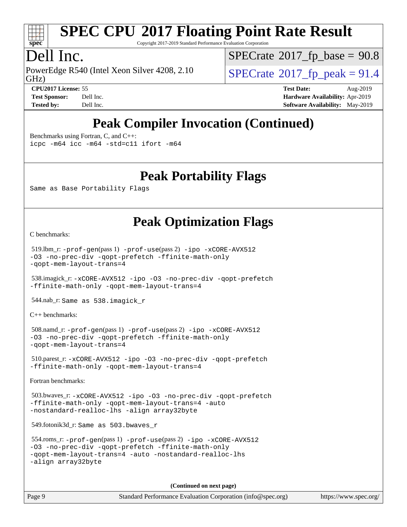

Copyright 2017-2019 Standard Performance Evaluation Corporation

# Dell Inc.

GHz) PowerEdge R540 (Intel Xeon Silver 4208, 2.10  $\vert$  [SPECrate](http://www.spec.org/auto/cpu2017/Docs/result-fields.html#SPECrate2017fppeak)<sup>®</sup>[2017\\_fp\\_peak = 9](http://www.spec.org/auto/cpu2017/Docs/result-fields.html#SPECrate2017fppeak)1.4

 $SPECTate@2017_fp\_base = 90.8$ 

**[Tested by:](http://www.spec.org/auto/cpu2017/Docs/result-fields.html#Testedby)** Dell Inc. **[Software Availability:](http://www.spec.org/auto/cpu2017/Docs/result-fields.html#SoftwareAvailability)** May-2019

**[CPU2017 License:](http://www.spec.org/auto/cpu2017/Docs/result-fields.html#CPU2017License)** 55 **[Test Date:](http://www.spec.org/auto/cpu2017/Docs/result-fields.html#TestDate)** Aug-2019 **[Test Sponsor:](http://www.spec.org/auto/cpu2017/Docs/result-fields.html#TestSponsor)** Dell Inc. **[Hardware Availability:](http://www.spec.org/auto/cpu2017/Docs/result-fields.html#HardwareAvailability)** Apr-2019

# **[Peak Compiler Invocation \(Continued\)](http://www.spec.org/auto/cpu2017/Docs/result-fields.html#PeakCompilerInvocation)**

[Benchmarks using Fortran, C, and C++:](http://www.spec.org/auto/cpu2017/Docs/result-fields.html#BenchmarksusingFortranCandCXX)

[icpc -m64](http://www.spec.org/cpu2017/results/res2019q3/cpu2017-20190831-17313.flags.html#user_CC_CXX_FCpeak_intel_icpc_64bit_4ecb2543ae3f1412ef961e0650ca070fec7b7afdcd6ed48761b84423119d1bf6bdf5cad15b44d48e7256388bc77273b966e5eb805aefd121eb22e9299b2ec9d9) [icc -m64 -std=c11](http://www.spec.org/cpu2017/results/res2019q3/cpu2017-20190831-17313.flags.html#user_CC_CXX_FCpeak_intel_icc_64bit_c11_33ee0cdaae7deeeab2a9725423ba97205ce30f63b9926c2519791662299b76a0318f32ddfffdc46587804de3178b4f9328c46fa7c2b0cd779d7a61945c91cd35) [ifort -m64](http://www.spec.org/cpu2017/results/res2019q3/cpu2017-20190831-17313.flags.html#user_CC_CXX_FCpeak_intel_ifort_64bit_24f2bb282fbaeffd6157abe4f878425411749daecae9a33200eee2bee2fe76f3b89351d69a8130dd5949958ce389cf37ff59a95e7a40d588e8d3a57e0c3fd751)

## **[Peak Portability Flags](http://www.spec.org/auto/cpu2017/Docs/result-fields.html#PeakPortabilityFlags)**

Same as Base Portability Flags

# **[Peak Optimization Flags](http://www.spec.org/auto/cpu2017/Docs/result-fields.html#PeakOptimizationFlags)**

[C benchmarks](http://www.spec.org/auto/cpu2017/Docs/result-fields.html#Cbenchmarks):

```
 519.lbm_r: -prof-gen(pass 1) -prof-use(pass 2) -ipo -xCORE-AVX512
-O3 -no-prec-div -qopt-prefetch -ffinite-math-only
-qopt-mem-layout-trans=4
```
 538.imagick\_r: [-xCORE-AVX512](http://www.spec.org/cpu2017/results/res2019q3/cpu2017-20190831-17313.flags.html#user_peakCOPTIMIZE538_imagick_r_f-xCORE-AVX512) [-ipo](http://www.spec.org/cpu2017/results/res2019q3/cpu2017-20190831-17313.flags.html#user_peakCOPTIMIZE538_imagick_r_f-ipo) [-O3](http://www.spec.org/cpu2017/results/res2019q3/cpu2017-20190831-17313.flags.html#user_peakCOPTIMIZE538_imagick_r_f-O3) [-no-prec-div](http://www.spec.org/cpu2017/results/res2019q3/cpu2017-20190831-17313.flags.html#user_peakCOPTIMIZE538_imagick_r_f-no-prec-div) [-qopt-prefetch](http://www.spec.org/cpu2017/results/res2019q3/cpu2017-20190831-17313.flags.html#user_peakCOPTIMIZE538_imagick_r_f-qopt-prefetch) [-ffinite-math-only](http://www.spec.org/cpu2017/results/res2019q3/cpu2017-20190831-17313.flags.html#user_peakCOPTIMIZE538_imagick_r_f_finite_math_only_cb91587bd2077682c4b38af759c288ed7c732db004271a9512da14a4f8007909a5f1427ecbf1a0fb78ff2a814402c6114ac565ca162485bbcae155b5e4258871) [-qopt-mem-layout-trans=4](http://www.spec.org/cpu2017/results/res2019q3/cpu2017-20190831-17313.flags.html#user_peakCOPTIMIZE538_imagick_r_f-qopt-mem-layout-trans_fa39e755916c150a61361b7846f310bcdf6f04e385ef281cadf3647acec3f0ae266d1a1d22d972a7087a248fd4e6ca390a3634700869573d231a252c784941a8)

544.nab\_r: Same as 538.imagick\_r

[C++ benchmarks:](http://www.spec.org/auto/cpu2017/Docs/result-fields.html#CXXbenchmarks)

```
 508.namd_r: -prof-gen(pass 1) -prof-use(pass 2) -ipo -xCORE-AVX512
-O3 -no-prec-div -qopt-prefetch -ffinite-math-only
-qopt-mem-layout-trans=4
```
 510.parest\_r: [-xCORE-AVX512](http://www.spec.org/cpu2017/results/res2019q3/cpu2017-20190831-17313.flags.html#user_peakCXXOPTIMIZE510_parest_r_f-xCORE-AVX512) [-ipo](http://www.spec.org/cpu2017/results/res2019q3/cpu2017-20190831-17313.flags.html#user_peakCXXOPTIMIZE510_parest_r_f-ipo) [-O3](http://www.spec.org/cpu2017/results/res2019q3/cpu2017-20190831-17313.flags.html#user_peakCXXOPTIMIZE510_parest_r_f-O3) [-no-prec-div](http://www.spec.org/cpu2017/results/res2019q3/cpu2017-20190831-17313.flags.html#user_peakCXXOPTIMIZE510_parest_r_f-no-prec-div) [-qopt-prefetch](http://www.spec.org/cpu2017/results/res2019q3/cpu2017-20190831-17313.flags.html#user_peakCXXOPTIMIZE510_parest_r_f-qopt-prefetch) [-ffinite-math-only](http://www.spec.org/cpu2017/results/res2019q3/cpu2017-20190831-17313.flags.html#user_peakCXXOPTIMIZE510_parest_r_f_finite_math_only_cb91587bd2077682c4b38af759c288ed7c732db004271a9512da14a4f8007909a5f1427ecbf1a0fb78ff2a814402c6114ac565ca162485bbcae155b5e4258871) [-qopt-mem-layout-trans=4](http://www.spec.org/cpu2017/results/res2019q3/cpu2017-20190831-17313.flags.html#user_peakCXXOPTIMIZE510_parest_r_f-qopt-mem-layout-trans_fa39e755916c150a61361b7846f310bcdf6f04e385ef281cadf3647acec3f0ae266d1a1d22d972a7087a248fd4e6ca390a3634700869573d231a252c784941a8)

[Fortran benchmarks](http://www.spec.org/auto/cpu2017/Docs/result-fields.html#Fortranbenchmarks):

```
 503.bwaves_r: -xCORE-AVX512 -ipo -O3 -no-prec-div -qopt-prefetch
-ffinite-math-only -qopt-mem-layout-trans=4 -auto
-nostandard-realloc-lhs -align array32byte
```
549.fotonik3d\_r: Same as 503.bwaves\_r

```
 554.roms_r: -prof-gen(pass 1) -prof-use(pass 2) -ipo -xCORE-AVX512
-O3 -no-prec-div -qopt-prefetch -ffinite-math-only
-qopt-mem-layout-trans=4 -auto -nostandard-realloc-lhs
-align array32byte
```
**(Continued on next page)**